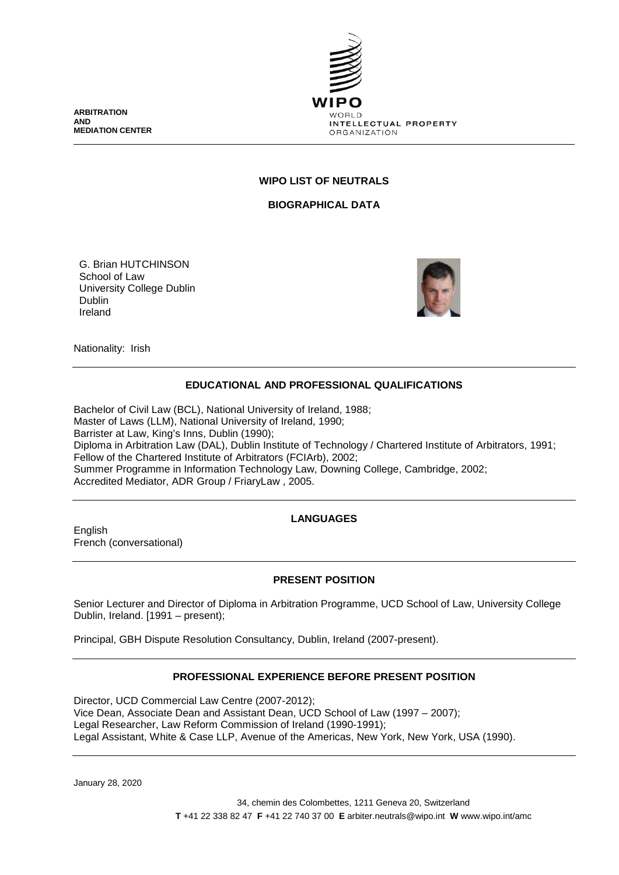**ARBITRATION AND MEDIATION CENTER**



#### **WIPO LIST OF NEUTRALS**

**BIOGRAPHICAL DATA**

G. Brian HUTCHINSON School of Law University College Dublin Dublin Ireland



Nationality: Irish

## **EDUCATIONAL AND PROFESSIONAL QUALIFICATIONS**

Bachelor of Civil Law (BCL), National University of Ireland, 1988; Master of Laws (LLM), National University of Ireland, 1990; Barrister at Law, King's Inns, Dublin (1990); Diploma in Arbitration Law (DAL), Dublin Institute of Technology / Chartered Institute of Arbitrators, 1991; Fellow of the Chartered Institute of Arbitrators (FCIArb), 2002; Summer Programme in Information Technology Law, Downing College, Cambridge, 2002; Accredited Mediator, ADR Group / FriaryLaw , 2005.

## **LANGUAGES**

English French (conversational)

## **PRESENT POSITION**

Senior Lecturer and Director of Diploma in Arbitration Programme, UCD School of Law, University College Dublin, Ireland. [1991 – present);

Principal, GBH Dispute Resolution Consultancy, Dublin, Ireland (2007-present).

## **PROFESSIONAL EXPERIENCE BEFORE PRESENT POSITION**

Director, UCD Commercial Law Centre (2007-2012); Vice Dean, Associate Dean and Assistant Dean, UCD School of Law (1997 – 2007); Legal Researcher, Law Reform Commission of Ireland (1990-1991); Legal Assistant, White & Case LLP, Avenue of the Americas, New York, New York, USA (1990).

January 28, 2020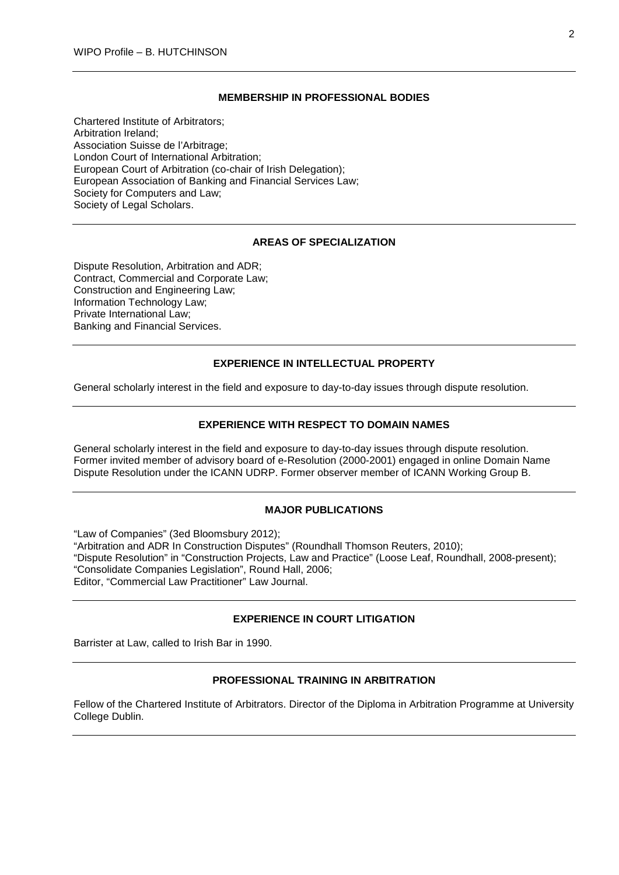#### **MEMBERSHIP IN PROFESSIONAL BODIES**

Chartered Institute of Arbitrators; Arbitration Ireland; Association Suisse de l'Arbitrage; London Court of International Arbitration; European Court of Arbitration (co-chair of Irish Delegation); European Association of Banking and Financial Services Law; Society for Computers and Law; Society of Legal Scholars.

#### **AREAS OF SPECIALIZATION**

Dispute Resolution, Arbitration and ADR; Contract, Commercial and Corporate Law; Construction and Engineering Law; Information Technology Law; Private International Law; Banking and Financial Services.

#### **EXPERIENCE IN INTELLECTUAL PROPERTY**

General scholarly interest in the field and exposure to day-to-day issues through dispute resolution.

#### **EXPERIENCE WITH RESPECT TO DOMAIN NAMES**

General scholarly interest in the field and exposure to day-to-day issues through dispute resolution. Former invited member of advisory board of e-Resolution (2000-2001) engaged in online Domain Name Dispute Resolution under the ICANN UDRP. Former observer member of ICANN Working Group B.

#### **MAJOR PUBLICATIONS**

"Law of Companies" (3ed Bloomsbury 2012); "Arbitration and ADR In Construction Disputes" (Roundhall Thomson Reuters, 2010); "Dispute Resolution" in "Construction Projects, Law and Practice" (Loose Leaf, Roundhall, 2008-present); "Consolidate Companies Legislation", Round Hall, 2006; Editor, "Commercial Law Practitioner" Law Journal.

# **EXPERIENCE IN COURT LITIGATION**

Barrister at Law, called to Irish Bar in 1990.

#### **PROFESSIONAL TRAINING IN ARBITRATION**

Fellow of the Chartered Institute of Arbitrators. Director of the Diploma in Arbitration Programme at University College Dublin.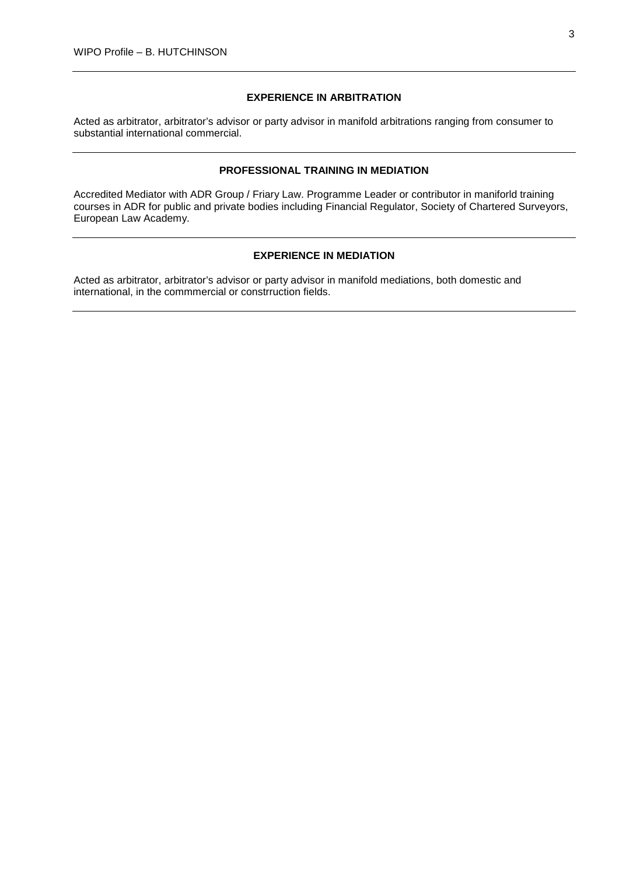# **EXPERIENCE IN ARBITRATION**

Acted as arbitrator, arbitrator's advisor or party advisor in manifold arbitrations ranging from consumer to substantial international commercial.

#### **PROFESSIONAL TRAINING IN MEDIATION**

Accredited Mediator with ADR Group / Friary Law. Programme Leader or contributor in maniforld training courses in ADR for public and private bodies including Financial Regulator, Society of Chartered Surveyors, European Law Academy.

# **EXPERIENCE IN MEDIATION**

Acted as arbitrator, arbitrator's advisor or party advisor in manifold mediations, both domestic and international, in the commmercial or constrruction fields.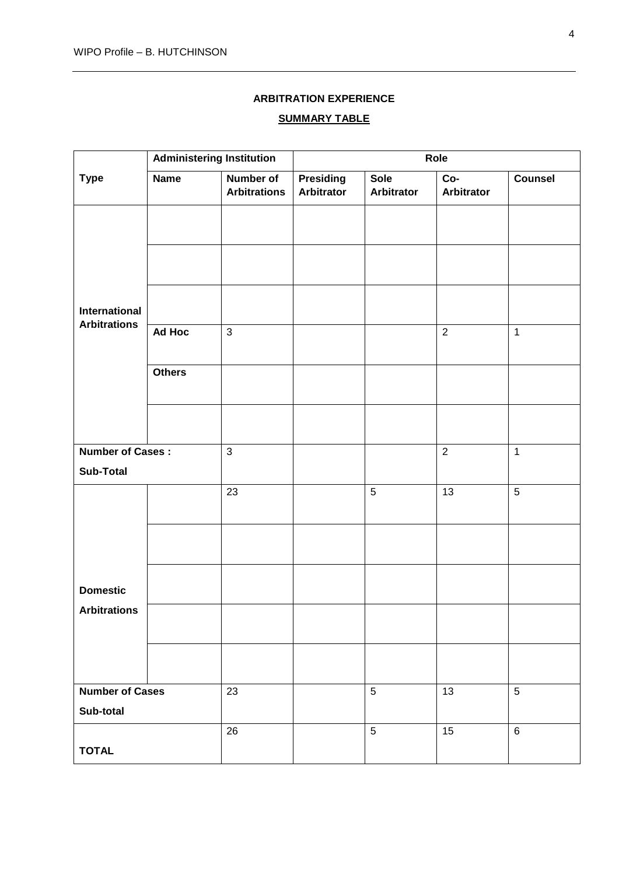# **ARBITRATION EXPERIENCE**

### **SUMMARY TABLE**

|                                      | <b>Administering Institution</b> |                                  | Role                                  |                                  |                          |                |  |
|--------------------------------------|----------------------------------|----------------------------------|---------------------------------------|----------------------------------|--------------------------|----------------|--|
| <b>Type</b>                          | <b>Name</b>                      | Number of<br><b>Arbitrations</b> | <b>Presiding</b><br><b>Arbitrator</b> | <b>Sole</b><br><b>Arbitrator</b> | Co-<br><b>Arbitrator</b> | <b>Counsel</b> |  |
|                                      |                                  |                                  |                                       |                                  |                          |                |  |
|                                      |                                  |                                  |                                       |                                  |                          |                |  |
| International<br><b>Arbitrations</b> |                                  |                                  |                                       |                                  |                          |                |  |
|                                      | Ad Hoc                           | $\mathfrak{S}$                   |                                       |                                  | $\overline{2}$           | $\mathbf{1}$   |  |
|                                      | <b>Others</b>                    |                                  |                                       |                                  |                          |                |  |
|                                      |                                  |                                  |                                       |                                  |                          |                |  |
| <b>Number of Cases:</b>              |                                  | 3                                |                                       |                                  | $\overline{2}$           | $\mathbf{1}$   |  |
| <b>Sub-Total</b>                     |                                  |                                  |                                       |                                  |                          |                |  |
|                                      |                                  | 23                               |                                       | $\sqrt{5}$                       | 13                       | $\sqrt{5}$     |  |
|                                      |                                  |                                  |                                       |                                  |                          |                |  |
| <b>Domestic</b>                      |                                  |                                  |                                       |                                  |                          |                |  |
| <b>Arbitrations</b>                  |                                  |                                  |                                       |                                  |                          |                |  |
|                                      |                                  |                                  |                                       |                                  |                          |                |  |
| <b>Number of Cases</b><br>Sub-total  |                                  | 23                               |                                       | $\sqrt{5}$                       | 13                       | 5              |  |
| <b>TOTAL</b>                         |                                  | 26                               |                                       | $5\phantom{.0}$                  | 15                       | $\,6\,$        |  |